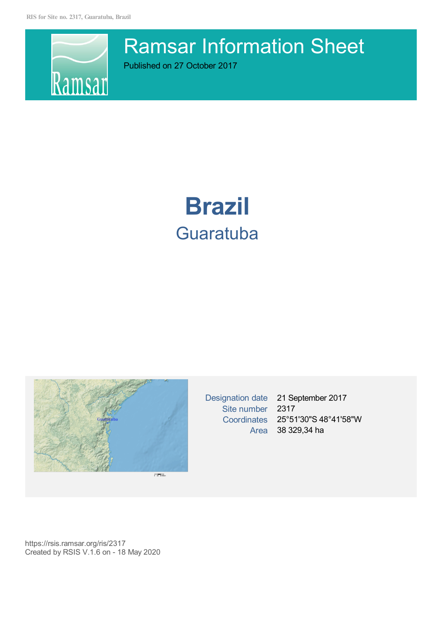**RIS for Site no. 2317, Guaratuba, Brazil**



Ramsar Information Sheet

Published on 27 October 2017

# **Brazil Guaratuba**



Site number 2317

Designation date 21 September 2017 Coordinates 25°51'30"S 48°41'58"W Area 38 329,34 ha

https://rsis.ramsar.org/ris/2317 Created by RSIS V.1.6 on - 18 May 2020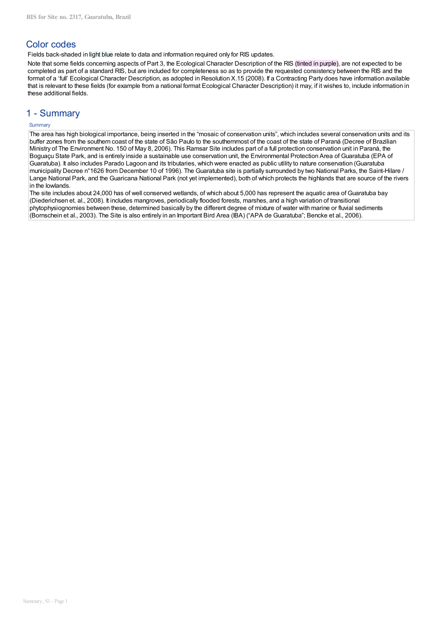# **Color codes**

Fields back-shaded in light blue relate to data and information required only for RIS updates.

Note that some fields concerning aspects of Part 3, the Ecological Character Description of the RIS (tinted in purple), are not expected to be completed as part of a standard RIS, but are included for completeness so as to provide the requested consistency between the RIS and the format of a 'full' Ecological Character Description, as adopted in Resolution X.15 (2008). If a Contracting Party does have information available that is relevant to these fields (for example from a national format Ecological Character Description) it may, if it wishes to, include information in these additional fields.

# 1 - Summarv

## Summary

The area has high biological importance, being inserted in the "mosaic of conservation units", which includes several conservation units and its buffer zones from the southern coast of the state of São Paulo to the southernmost of the coast of the state of Paraná (Decree of Brazilian Ministry of The Environment No. 150 of May 8, 2006). This Ramsar Site includes part of a full protection conservation unit in Paraná, the Boguaçu State Park, and is entirely inside a sustainable use conservation unit, the Environmental Protection Area of Guaratuba (EPA of Guaratuba). It also includes Parado Lagoon and its tributaries, which were enacted as public utility to nature conservation (Guaratuba municipality Decree n°1626 from December 10 of 1996). The Guaratuba site is partially surrounded by two National Parks, the Saint-Hilare / Lange National Park, and the Guaricana National Park (not yet implemented), both of which protects the highlands that are source of the rivers in the lowlands.

The site includes about 24,000 has of well conserved wetlands, of which about 5,000 has represent the aquatic area of Guaratuba bay (Diederichsen et. al., 2008). It includes mangroves, periodically flooded forests, marshes, and a high variation of transitional phytophysiognomies between these, determined basically by the different degree of mixture of water with marine or fluvial sediments (Bornschein et al., 2003). The Site is also entirely in an Important Bird Area (IBA) ("APA de Guaratuba"; Bencke et al., 2006).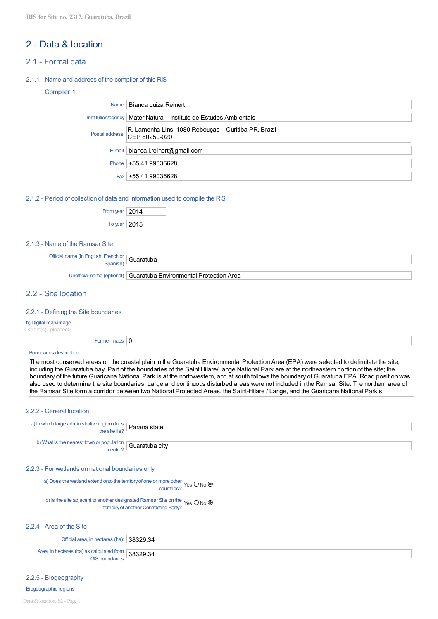# 2 - Data & location

- 21 Formal data
- 2.1.1 Name and address of the compiler of this RIS

## Compiler 1

| Name   Bianca Luiza Reinert                                                          |
|--------------------------------------------------------------------------------------|
| Institution/agency   Mater Natura - Instituto de Estudos Ambientais                  |
| R. Lamenha Lins, 1080 Rebouças – Curitiba PR, Brazil<br>Postal address CEP 80250-020 |
| $E$ -mail   bianca.l.reinert@gmail.com                                               |
| Phone $+554199036628$                                                                |
| Fax +55 41 99036628                                                                  |

## 2.1.2 - Period of collection of data and information used to compile the RIS

| From year $ 2014$ |  |
|-------------------|--|
| To year $ 2015$   |  |

## 2.1.3 - Name of the Ramsar Site

| Official name (in L           |  |
|-------------------------------|--|
| . French or<br><b>Englich</b> |  |
|                               |  |
| .nısr<br>, <u>.</u> .         |  |
|                               |  |

Unofficial name (optional) Guaratuba Environmental Protection Area

# 2.2 - Site location

## 2.2.1 - Defining the Site boundaries

b) Digital map/image

<1 file(s) uploaded>

| Former maps $\vert 0 \vert$ |  |
|-----------------------------|--|
|                             |  |

## **Boundaries description**

The most conserved areas on the coastal plain in the Guaratuba Environmental Protection Area (EPA) were selected to delimitate the site. including the Guaratuba bay. Part of the boundaries of the Saint Hilare/Lange National Park are at the northeastern portion of the site; the boundary of the future Guaricana National Park is at the northwestern, and at south follows the boundary of Guaratuba EPA. Road position was also used to determine the site boundaries. Large and continuous disturbed areas were not included in the Ramsar Site. The northern area of the Ramsar Site form a corridor between two National Protected Areas, the Saint-Hilare / Lange, and the Guaricana National Park's.

## 2.2.2 - General location

| a) In which large administrative region does $\sqrt{\frac{P^2}{n}}$ Paraná state |  |
|----------------------------------------------------------------------------------|--|
| b) What is the nearest town or population $\boxed{\text{Guaratuba city}}$        |  |

## 2.2.3 - For wetlands on national boundaries only

a) Does the wetland extend onto the territory of one or more other<br>countries? Yes  $O$  No  $\circledcirc$ 

b) Is the site adjacent to another designated Ramsar Site on the Yes  $O$  No  $\odot$ <br>territory of another Contracting Party?

## 2.2.4 - Area of the Site

Official area, in hectares (ha): 38329.34

Area, in hectares (ha) as calculated from 38329.34 **GIS** boundaries

2.2.5 - Biogeography

Biogeographic regions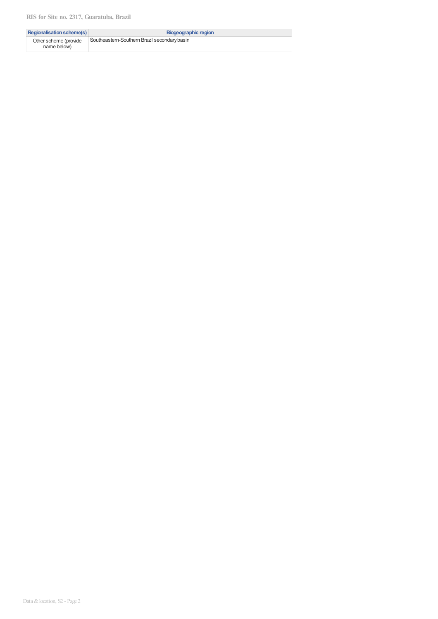| <b>Regionalisation scheme(s)</b>     | Biogeographic region                         |
|--------------------------------------|----------------------------------------------|
| Other scheme (provide<br>name below) | Southeastern-Southern Brazil secondary basin |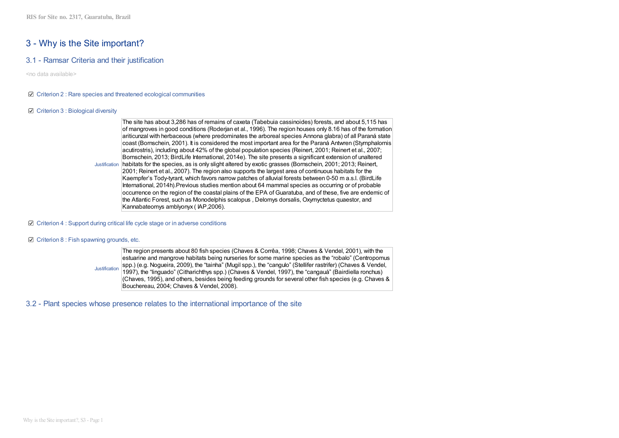# 3 - Why is the Site important?

## 3.1 - Ramsar Criteria and their justification

<no data available>

## $\boxtimes$  Criterion 2 : Rare species and threatened ecological communities

## ☑ Criterion 3 : Biological diversity

The site has about 3,286 has of remains of caxeta (Tabebuia cassinoides) forests, and about 5,115 has of mangroves in good conditions (Roderjan et al., 1996). The region houses only 8.16 has of the formation ariticunzal with herbaceous (where predominates the arboreal species Annona glabra) of all Paraná state coast (Bornschein, 2001). It is considered the most important area for the Paraná Antwren (Stymphalornis acutirostris), including about 42% of the global population species (Reinert, 2001; Reinert et al., 2007; Bornschein, 2013; BirdLife International, 2014e). The site presents a significant extension of unaltered Justification habitats for the species, as is only slight altered by exotic grasses (Bornschein, 2001; 2013; Reinert, 2001: Reinert et al., 2007). The region also supports the largest area of continuous habitats for the Kaempfer's Tody-tyrant, which favors narrow patches of alluvial forests between 0-50 m a.s.l. (BirdLife International, 2014h). Previous studies mention about 64 mammal species as occurring or of probable occurrence on the region of the coastal plains of the EPA of Guaratuba, and of these, five are endemic of the Atlantic Forest, such as Monodelphis scalopus, Delomys dorsalis, Oxymyctetus quaestor, and Kannabateomys amblyonyx (IAP.2006).

## ☑ Criterion 4 : Support during critical life cycle stage or in adverse conditions

## $\boxtimes$  Criterion 8 : Fish spawning grounds, etc.

The region presents about 80 fish species (Chaves & Corrêa, 1998; Chaves & Vendel, 2001), with the estuarine and mangrove habitats being nurseries for some marine species as the "robalo" (Centropomus spp.) (e.g. Noqueira, 2009), the "tainha" (Mugil spp.), the "cangulo" (Stellifer rastrifer) (Chaves & Vendel, Justification 1997), the "linguado" (Citharichthys spp.) (Chaves & Vendel, 1997), the "cangauá" (Bairdiella ronchus) (Chaves, 1995), and others, besides being feeding grounds for several other fish species (e.g. Chaves & Bouchereau, 2004; Chaves & Vendel, 2008).

3.2 - Plant species whose presence relates to the international importance of the site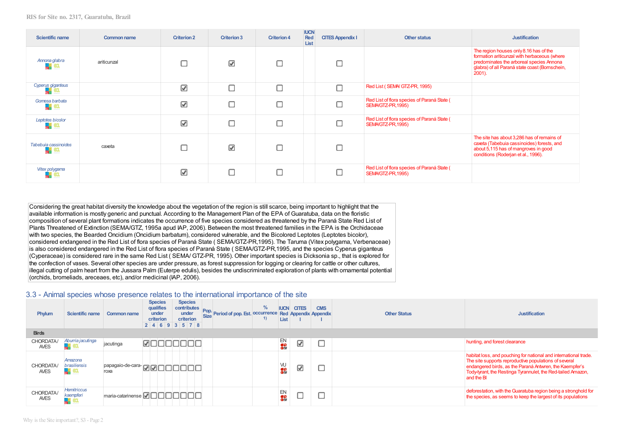| <b>Scientific name</b>                             | <b>Common name</b> | <b>Criterion 2</b>       | <b>Criterion 3</b> | <b>Criterion 4</b> | <b>IUCN</b><br>Red<br>List | <b>CITES Appendix I</b> | Other status                                                     | <b>Justification</b>                                                                                                                                                                           |
|----------------------------------------------------|--------------------|--------------------------|--------------------|--------------------|----------------------------|-------------------------|------------------------------------------------------------------|------------------------------------------------------------------------------------------------------------------------------------------------------------------------------------------------|
| Annona glabra                                      | ariticunzal        |                          | ☑                  | С                  |                            |                         |                                                                  | The region houses only 8.16 has of the<br>formation ariticunzal with herbaceous (where<br>predominates the arboreal species Annona<br>glabra) of all Paraná state coast (Bornschein,<br>2001). |
| Cyperus giganteus                                  |                    | ⊽                        | Г                  | С                  |                            |                         | Red List (SEMA/GTZ-PR, 1995)                                     |                                                                                                                                                                                                |
| Gomesa barbata<br>÷<br>м                           |                    | $\overline{\mathscr{L}}$ | с                  | С                  |                            |                         | Red List of flora species of Paraná State (<br>SEMAGTZ-PR, 1995) |                                                                                                                                                                                                |
| Leptotes bicolor<br>$\mathbf{R}^{\text{eff}}$<br>旺 |                    | ⊽                        | С                  | С                  |                            |                         | Red List of flora species of Paraná State (<br>SEMAGTZ-PR, 1995) |                                                                                                                                                                                                |
| Tabebuja cassinoides<br>4<br>ęд,                   | caxeta             |                          | ☑                  | С                  |                            |                         |                                                                  | The site has about 3,286 has of remains of<br>caxeta (Tabebuia cassinoides) forests, and<br>about 5,115 has of mangroves in good<br>conditions (Roderjan et al., 1996).                        |
| Vitex polygama                                     |                    | ☑                        | Г                  | С                  |                            |                         | Red List of flora species of Paraná State (<br>SEMAGTZ-PR, 1995) |                                                                                                                                                                                                |

Considering the great habitat diversity the knowledge about the vegetation of the region is still scarce, being important to highlight that the available information is mostly generic and punctual. According to the Management Plan of the EPA of Guaratuba, data on the floristic composition of several plant formations indicates the occurrence of five species considered as threatened by the Paraná State Red List of Plants Threatened of Extinction (SEMA/GTZ, 1995a apud IAP, 2006). Between the most threatened families in the EPA is the Orchidaceae with two species, the Bearded Oncidium (Oncidium barbatum), considered vulnerable, and the Bicolored Leptotes (Leptotes bicolor), considered endangered in the Red List of flora species of Paraná State (SEMA/GTZ-PR,1995). The Taruma (Vitex polygama, Verbenaceae) is also considered endangered in the Red List of flora species of Paraná State (SEMA/GTZ-PR, 1995, and the species Cyperus giganteus (Cyperaceae) is considered rare in the same Red List (SEMA/ GTZ-PR, 1995). Other important species is Dicksonia sp., that is explored for the confection of vases. Several other species are under pressure, as forest suppression for logging or clearing for cattle or other cultures, illegal cutting of palm heart from the Jussara Palm (Euterpe edulis), besides the undiscriminated exploration of plants with ornamental potential (orchids, bromeliads, areceaes, etc), and/or medicinal (IAP, 2006).

## 3.3 - Animal species whose presence relates to the international importance of the site

| Phylum                   | Scientific name                            | Common name                            | <b>Species</b><br>qualifies<br>under<br>criterion<br>2 4 6 9 3 5 7 8 |       | <b>Species</b><br>contributes<br>under<br>criterion | Pop. Period of pop. Est. occurrence Red Appendix Appendix | $\frac{9}{6}$<br>$\left( \frac{1}{2} \right)$ | <b>IUCN</b><br>List | <b>CITES</b> | <b>CMS</b> | <b>Other Status</b> | <b>Justification</b>                                                                                                                                                                                                                                               |
|--------------------------|--------------------------------------------|----------------------------------------|----------------------------------------------------------------------|-------|-----------------------------------------------------|-----------------------------------------------------------|-----------------------------------------------|---------------------|--------------|------------|---------------------|--------------------------------------------------------------------------------------------------------------------------------------------------------------------------------------------------------------------------------------------------------------------|
| <b>Birds</b>             |                                            |                                        |                                                                      |       |                                                     |                                                           |                                               |                     |              |            |                     |                                                                                                                                                                                                                                                                    |
| CHORDATA/<br><b>AVES</b> | Aburria jacutinga                          | jacutinga                              |                                                                      | חרור  |                                                     |                                                           |                                               | EN<br>Sä            | ☑            |            |                     | hunting, and forest clearance                                                                                                                                                                                                                                      |
| CHORDATA/<br><b>AVES</b> | Amazona<br>brasiliensis<br><b>PARTICUL</b> | papagaio-de-cara- <b>DOOOO</b><br>roxa |                                                                      |       |                                                     |                                                           |                                               | W<br>$\bullet$      | ☑            |            |                     | habitat loss, and pouching for national and international trade.<br>The site supports reproductive populations of several<br>endangered birds, as the Paraná Antwren, the Kaempfer's<br>Tody-tyrant, the Restinga Tyrannulet, the Red-tailed Amazon,<br>and the BI |
| CHORDATA/<br><b>AVES</b> | <b>Hemitriccus</b><br>kaempferi            | Imaria-catarinense                     |                                                                      | innnn |                                                     |                                                           |                                               | EN<br>$\frac{1}{2}$ |              |            |                     | deforestation, with the Guaratuba region being a stronghold for<br>the species, as seems to keep the largest of its populations                                                                                                                                    |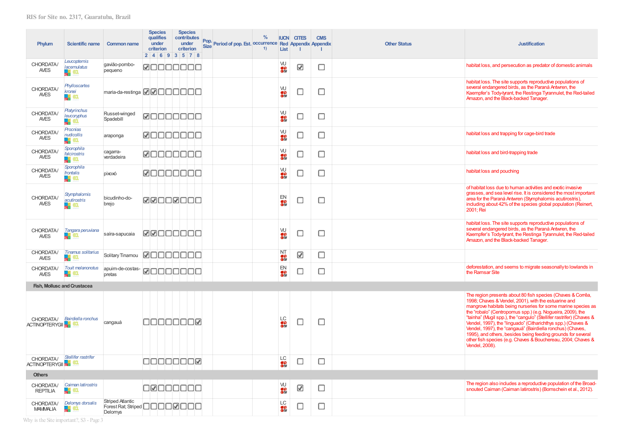| Phylum                             | <b>Scientific name</b>                                | <b>Common name</b>                                                                              | 2 4 6 9 3 5 7 8 | <b>Species</b><br><b>qualifies</b><br>under<br>criterion |        | <b>Species</b><br>under | contributes<br>criterion | Pop.<br><b>Size</b> | Period of pop. Est. Occurrence Red Appendix Appendix | $\frac{9}{6}$<br>1) | <b>List</b>          | <b>IUCN CITES</b><br>-1 | <b>CMS</b> | <b>Other Status</b> | <b>Justification</b>                                                                                                                                                                                                                                                                                                                                                                                                                                                                                                                                                                                      |
|------------------------------------|-------------------------------------------------------|-------------------------------------------------------------------------------------------------|-----------------|----------------------------------------------------------|--------|-------------------------|--------------------------|---------------------|------------------------------------------------------|---------------------|----------------------|-------------------------|------------|---------------------|-----------------------------------------------------------------------------------------------------------------------------------------------------------------------------------------------------------------------------------------------------------------------------------------------------------------------------------------------------------------------------------------------------------------------------------------------------------------------------------------------------------------------------------------------------------------------------------------------------------|
| CHORDATA/<br>AVES                  | Leucopternis<br>lacernulatus<br>۳.<br>80.             | qavião-pombo-<br>pequeno                                                                        | <b>ØOOOOOO</b>  |                                                          |        |                         |                          |                     |                                                      |                     | W<br><b>OS</b>       | ☑                       | О          |                     | habitat loss, and persecution as predator of domestic animals                                                                                                                                                                                                                                                                                                                                                                                                                                                                                                                                             |
| CHORDATA/<br>AVES                  | Phylloscartes<br>kronei<br><b>o</b> ea                | maria-da-restinga $\boxtimes \boxtimes \square \square \square \square \square$                 |                 |                                                          |        |                         |                          |                     |                                                      |                     | W<br><b>Si</b>       | С                       | □          |                     | habitat loss. The site supports reproductive populations of<br>several endangered birds, as the Paraná Antwren, the<br>Kaempfer's Tody-tyrant, the Restinga Tyrannulet, the Red-tailed<br>Amazon, and the Black-backed Tanager.                                                                                                                                                                                                                                                                                                                                                                           |
| CHORDATA/<br><b>AVES</b>           | <b>Platyrinchus</b><br>leucoryphus<br>7               | Russet-winged<br>Spadebill                                                                      | 00000000        |                                                          |        |                         |                          |                     |                                                      |                     | W<br>os:             | О                       | О          |                     |                                                                                                                                                                                                                                                                                                                                                                                                                                                                                                                                                                                                           |
| CHORDATA/<br>AVES                  | Procnias<br>nudicollis<br><b>SEP 63.</b>              | araponga                                                                                        | <b>Maaaaaaa</b> |                                                          |        |                         |                          |                     |                                                      |                     | W<br>os:             | С                       | □          |                     | habitat loss and trapping for cage-bird trade                                                                                                                                                                                                                                                                                                                                                                                                                                                                                                                                                             |
| CHORDATA/<br>AVES                  | Sporophila<br>falcirostris<br>в.<br>ea.               | cagarra-<br>verdadeira                                                                          | ΩΓ              |                                                          | 100000 |                         |                          |                     |                                                      |                     | W<br>$\bullet$       | О                       | □          |                     | habitat loss and bird-trapping trade                                                                                                                                                                                                                                                                                                                                                                                                                                                                                                                                                                      |
| CHORDATA/<br>AVES                  | Sporophila<br>frontalis<br><b>E</b> on                | <b>oxoxíq</b>                                                                                   | <b>MOOOOOO</b>  |                                                          |        |                         |                          |                     |                                                      |                     | W<br>or<br>Olif      | С                       | □          |                     | habitat loss and pouching                                                                                                                                                                                                                                                                                                                                                                                                                                                                                                                                                                                 |
| CHORDATA/<br>AVES                  | <b>Stymphalornis</b><br>acutirostris<br><b>g</b> a en | bicudinho-do-<br>brejo                                                                          | <u>WAOOWOOO</u> |                                                          |        |                         |                          |                     |                                                      |                     | EN<br><b>ga</b>      | с                       | □          |                     | of habitat loss due to human activities and exotic invasive<br>grasses, and sea level rise. It is considered the most important<br>area for the Paraná Antwren (Stymphalornis acutirostris),<br>including about 42% of the species global population (Reinert,<br>2001; Rei                                                                                                                                                                                                                                                                                                                               |
| CHORDATA/<br><b>AVES</b>           | Tangara peruviana<br>۳.<br>61.                        | saíra-sapucaia                                                                                  | MMOOOOOC        |                                                          |        |                         |                          |                     |                                                      |                     | W<br>$\bullet$       | О                       | c          |                     | habitat loss. The site supports reproductive populations of<br>several endangered birds, as the Paraná Antwren, the<br>Kaempfer's Tody-tyrant, the Restinga Tyrannulet, the Red-tailed<br>Amazon, and the Black-backed Tanager.                                                                                                                                                                                                                                                                                                                                                                           |
| CHORDATA/<br><b>AVES</b>           | <b>Tinamus solitarius</b>                             | Solitary Tinamou                                                                                | ا⊽ا             |                                                          |        |                         | INNNNN                   |                     |                                                      |                     | NT<br>O <sup>3</sup> | ☑                       | □          |                     |                                                                                                                                                                                                                                                                                                                                                                                                                                                                                                                                                                                                           |
| CHORDATA/<br><b>AVES</b>           | <b>Touit melanonotus</b><br>۳<br>60.                  | apuim-de-costas-<br>pretas                                                                      | <b>ØNNANAN</b>  |                                                          |        |                         |                          |                     |                                                      |                     | EN<br>os<br>Olif     | □                       | О          |                     | deforestation, and seems to migrate seasonally to lowlands in<br>the Ramsar Site                                                                                                                                                                                                                                                                                                                                                                                                                                                                                                                          |
|                                    | Fish, Mollusc and Crustacea                           |                                                                                                 |                 |                                                          |        |                         |                          |                     |                                                      |                     |                      |                         |            |                     |                                                                                                                                                                                                                                                                                                                                                                                                                                                                                                                                                                                                           |
| <b>ACTINOPTERYGII</b>              | CHORDATA/ Bairdiella ronchus                          | cangauá                                                                                         |                 |                                                          |        |                         | INNNAR                   |                     |                                                      |                     | <b>LC</b><br>ON      | С                       | О          |                     | The region presents about 80 fish species (Chaves & Corrêa,<br>1998; Chaves & Vendel, 2001), with the estuarine and<br>mangrove habitats being nurseries for some marine species as<br>the "robalo" (Centropomus spp.) (e.g. Nogueira, 2009), the<br>"tainha" (Mugil spp.), the "cangulo" (Stellifer rastrifer) (Chaves &<br>Vendel, 1997), the "linguado" (Citharichthys spp.) (Chaves &<br>Vendel, 1997), the "cangauá" (Bairdiella ronchus) (Chaves,<br>1995), and others, besides being feeding grounds for several<br>other fish species (e.g. Chaves & Bouchereau, 2004; Chaves &<br>Vendel, 2008). |
| CHORDATA/<br><b>ACTINOPTERYGIE</b> | Stellifer rastrifer<br>83.                            |                                                                                                 | <b>BOOOOOR</b>  |                                                          |        |                         |                          |                     |                                                      |                     | LC<br>$\frac{1}{2}$  | С                       | О          |                     |                                                                                                                                                                                                                                                                                                                                                                                                                                                                                                                                                                                                           |
| <b>Others</b>                      |                                                       |                                                                                                 |                 |                                                          |        |                         |                          |                     |                                                      |                     |                      |                         |            |                     |                                                                                                                                                                                                                                                                                                                                                                                                                                                                                                                                                                                                           |
| CHORDATA/<br><b>REPTILIA</b>       | Caiman latirostris<br><b>E</b> d en                   |                                                                                                 | 8000000         |                                                          |        |                         |                          |                     |                                                      |                     | W<br><b>OS</b>       | ☑                       | ∟          |                     | The region also includes a reproductive population of the Broad-<br>snouted Caiman (Caiman latirostris) (Bornschein et al., 2012).                                                                                                                                                                                                                                                                                                                                                                                                                                                                        |
| CHORDATA/<br><b>MAMMALIA</b>       | Delomys dorsalis<br><b>Septe</b>                      | <b>Striped Atlantic</b><br>Forest Rat; Striped $\square\square\square\square\square$<br>Delomys |                 |                                                          |        |                         |                          |                     |                                                      |                     | LC<br>or<br>Olif     | С                       | □          |                     |                                                                                                                                                                                                                                                                                                                                                                                                                                                                                                                                                                                                           |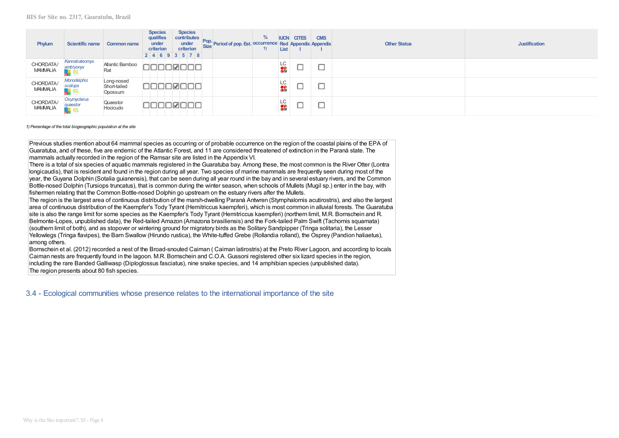| Phylum                       | Scientific name              | Common name                           | <b>Species</b><br><b>Species</b><br>qualifies<br>contributes<br>under<br>under<br>criterion<br>criterion<br>2 4 6 9 3 5 7 8 | $\%$<br><b>Pop.</b> Period of pop. Est. <b>occurrence</b> Red Appendix Appendix<br>1) | <b>IUCN</b><br>List    | <b>CITES</b> | <b>CMS</b> | <b>Other Status</b> | <b>Justification</b> |
|------------------------------|------------------------------|---------------------------------------|-----------------------------------------------------------------------------------------------------------------------------|---------------------------------------------------------------------------------------|------------------------|--------------|------------|---------------------|----------------------|
| CHORDATA/<br><b>MAMMALIA</b> | Kannabateomys<br>amblyonyx   | Atlantic Bamboo<br>Rat                | ெ                                                                                                                           |                                                                                       | LC<br><mark>이하</mark>  |              | يستبينه    |                     |                      |
| CHORDATA/<br><b>MAMMALIA</b> | Monodelphis<br>scalops       | Long-nosed<br>Short-tailed<br>Opossum | M<br>HH.                                                                                                                    |                                                                                       | LC<br><mark>이</mark> 하 |              | يستبينه    |                     |                      |
| CHORDATA/<br><b>MAMMALIA</b> | Oxymycterus<br>quaestor<br>m | Quaestor<br>Hocicudo                  | ⊮                                                                                                                           |                                                                                       | LC<br>$\frac{1}{2}$    |              | ىستا       |                     |                      |

1) Percentage of the total biogeographic population at the site

Previous studies mention about 64 mammal species as occurring or of probable occurrence on the region of the coastal plains of the EPA of Guaratuba, and of these, five are endemic of the Atlantic Forest, and 11 are considered threatened of extinction in the Paraná state. The mammals actually recorded in the region of the Ramsar site are listed in the Appendix VI.

There is a total of six species of aquatic mammals registered in the Guaratuba bay. Among these, the most common is the River Otter (Lontra longicaudis), that is resident and found in the region during all year. Two species of marine mammals are frequently seen during most of the year, the Guyana Dolphin (Sotalia guianensis), that can be seen during all year round in the bay and in several estuary rivers, and the Common Bottle-nosed Dolphin (Tursiops truncatus), that is common during the winter season, when schools of Mullets (Mugil sp.) enter in the bay, with fishermen relating that the Common Bottle-nosed Dolphin go upstream on the estuary rivers after the Mullets.

The region is the largest area of continuous distribution of the marsh-dwelling Paraná Antwren (Stymphalornis acutirostris), and also the largest area of continuous distribution of the Kaempfer's Tody Tyrant (Hemitriccus kaempferi), which is most common in alluvial forests. The Guaratuba site is also the range limit for some species as the Kaempfer's Tody Tyrant (Hemitriccus kaempferi) (northern limit, M.R. Bornschein and R. Belmonte-Lopes, unpublished data), the Red-tailed Amazon (Amazona brasiliensis) and the Fork-tailed Palm Swift (Tachornis squamata) (southern limit of both), and as stopover or wintering ground for migratory birds as the Solitary Sandpipper (Tringa solitaria), the Lesser Yellowlegs (Tringa flavipes), the Barn Swallow (Hirundo rustica), the White-tuffed Grebe (Rollandia rolland), the Osprey (Pandion haliaetus), among others.

Bornschein et al. (2012) recorded a nest of the Broad-snouted Caiman (Caiman latirostris) at the Preto River Lagoon, and according to locals Caiman nests are frequently found in the lagoon, M.R. Bornschein and C.O.A. Gussoni registered other six lizard species in the region. including the rare Banded Galliwasp (Diploglossus fasciatus), nine snake species, and 14 amphibian species (unpublished data). The region presents about 80 fish species.

3.4 - Ecological communities whose presence relates to the international importance of the site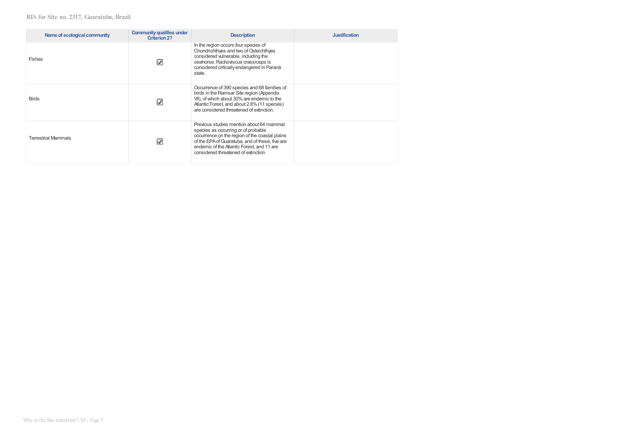| Name of ecological community | Community qualifies under<br>Criterion 2? | <b>Description</b>                                                                                                                                                                                                                                                        | <b>Justification</b> |
|------------------------------|-------------------------------------------|---------------------------------------------------------------------------------------------------------------------------------------------------------------------------------------------------------------------------------------------------------------------------|----------------------|
| <b>Fishes</b>                | V                                         | In the region occurs four species of<br>Chondrichthyes and two of Osteichthyes<br>considered vulnerable, including the<br>seahorse. Rachoviscus crassiceps is<br>considered critically endangered in Paraná<br>state.                                                     |                      |
| <b>Birds</b>                 | V                                         | Occurrence of 390 species and 68 families of<br>birds in the Ramsar Site region (Appendix<br>VII), of which about 30% are endemic to the<br>Atlantic Forest, and about 2.8% (11 species)<br>are considered threatened of extinction.                                      |                      |
| <b>Terrestrial Mammals</b>   | V                                         | Previous studies mention about 64 mammal<br>species as occurring or of probable<br>occurrence on the region of the coastal plains<br>of the EPA of Guaratuba, and of these, five are<br>endemic of the Atlantic Forest, and 11 are<br>considered threatened of extinction |                      |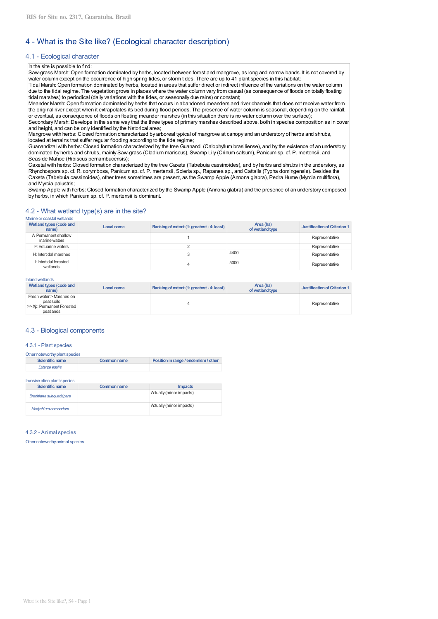# 4 - What is the Site like? (Ecological character description)

## 4.1 - Ecological character

#### In the site is possible to find:

Saw-grass Marsh: Open formation dominated by herbs, located between forest and mangrove, as long and narrow bands. It is not covered by water column except on the occurrence of high spring tides, or storm tides. There are up to 41 plant species in this habitat;

Tidal Marsh: Open formation dominated by herbs, located in areas that suffer direct or indirect influence of the variations on the water column due to the tidal regime. The vegetation grows in places where the water column vary from casual (as consequence of floods on totally floating tidal marshes) to periodical (daily variations with the tides, or seasonally due rains) or constant;

Meander Marsh: Open formation dominated by herbs that occurs in abandoned meanders and river channels that does not receive water from the original river except when it extrapolates its bed during flood periods. The presence of water column is seasonal, depending on the rainfall, or eventual, as consequence of floods on floating meander marshes (in this situation there is no water column over the surface);

Secondary Marsh: Develops in the same way that the three types of primary marshes described above, both in species composition as in cover and height, and can be only identified by the historical area;

Mangrove with herbs: Closed formation characterized by arboreal typical of mangrove at canopy and an understory of herbs and shrubs. located at terrains that suffer regular flooding according to the tide regime;

Guanandizal with herbs: Closed formation characterized by the tree Guanandi (Calophyllum brasiliense), and by the existence of an understory dominated by herbs and shrubs, mainly Saw-grass (Cladium mariscus), Swamp Lily (Crinum salsum), Panicum sp. cf. P. mertensii, and Seaside Mahoe (Hibiscus pernambucensis);

Caxetal with herbs: Closed formation characterized by the tree Caxeta (Tabebuia cassinoides), and by herbs and shrubs in the understory, as Rhynchospora sp. cf. R. corymbosa, Panicum sp. cf. P. mertensii, Scleria sp., Rapanea sp., and Cattails (Typha domingensis). Besides the Caxeta (Tabebuia cassinoides), other trees sometimes are present, as the Swamp Apple (Annona glabra), Pedra Hume (Myrcia multiflora), and Myrcia palustris:

Swamp Apple with herbs: Closed formation characterized by the Swamp Apple (Annona glabra) and the presence of an understory composed by herbs, in which Panicum sp. cf. P. mertensii is dominant.

#### 4.2 - What wetland type(s) are in the site? Marine or coastal wetlands

| Wetland types (code and<br>name)      | Local name | Ranking of extent (1: greatest - 4: least) | Area (ha)<br>of wetland type | <b>Justification of Criterion 1</b> |
|---------------------------------------|------------|--------------------------------------------|------------------------------|-------------------------------------|
| A: Permanent shallow<br>marine waters |            |                                            |                              | Representative                      |
| F: Estuarine waters                   |            |                                            |                              | Representative                      |
| H: Intertidal marshes                 |            |                                            | 4400                         | Representative                      |
| I: Intertidal forested<br>wetlands    |            |                                            | 5000                         | Representative                      |

#### Inland wetlands

| Wetland types (code and<br>name)                                                 | Local name | Ranking of extent (1: greatest - 4: least) | Area (ha)<br>of wetland type | Justification of Criterion 1 |
|----------------------------------------------------------------------------------|------------|--------------------------------------------|------------------------------|------------------------------|
| Fresh water > Marshes on<br>peat soils<br>>> Xp: Permanent Forested<br>peatlands |            |                                            |                              | Representative               |

## 4.3 - Biological components

#### 4.3.1 - Plant species

| Other noteworthy plant species |             |                                      |  |  |
|--------------------------------|-------------|--------------------------------------|--|--|
| Scientific name                | Common name | Position in range / endemism / other |  |  |
| Euterne edulis                 |             |                                      |  |  |

Invasive alien plant species

| <b>Scientific name</b>   | Common name | <b>Impacts</b>           |
|--------------------------|-------------|--------------------------|
| Brachiaria subquadripara |             | Actually (minor impacts) |
| Hedychium coronarium     |             | Actually (minor impacts) |

4.3.2 - Animal species

Other noteworthy animal species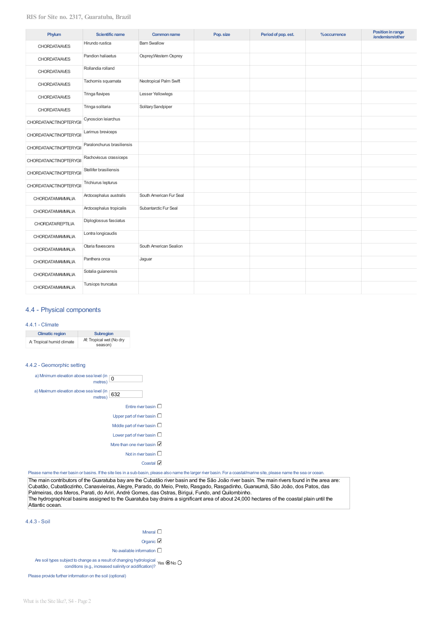| Phylum                         | <b>Scientific name</b>     | <b>Common name</b>      | Pop. size | Period of pop. est. | %occurrence | Position in range<br>/endemism/other |
|--------------------------------|----------------------------|-------------------------|-----------|---------------------|-------------|--------------------------------------|
| <b>CHORDATA/AVES</b>           | Hirundo rustica            | <b>Barn Swallow</b>     |           |                     |             |                                      |
| <b>CHORDATA/AVES</b>           | Pandion haliaetus          | Osprey, Western Osprey  |           |                     |             |                                      |
| <b>CHORDATA/AVES</b>           | Rollandia rolland          |                         |           |                     |             |                                      |
| <b>CHORDATA/AVES</b>           | Tachornis squamata         | Neotropical Palm Swift  |           |                     |             |                                      |
| <b>CHORDATA/AVES</b>           | Tringa flavipes            | Lesser Yellowlegs       |           |                     |             |                                      |
| <b>CHORDATA/AVES</b>           | Tringa solitaria           | Solitary Sandpiper      |           |                     |             |                                      |
| <b>CHORDATA/ACTINOPTERYGII</b> | Cynoscion leiarchus        |                         |           |                     |             |                                      |
| CHORDATA/ACTINOPTERYGII        | Larimus breviceps          |                         |           |                     |             |                                      |
| CHORDATA/ACTINOPTERYGII        | Paralonchurus brasiliensis |                         |           |                     |             |                                      |
| CHORDATA/ACTINOPTERYGII        | Rachoviscus crassiceps     |                         |           |                     |             |                                      |
| CHORDATA/ACTINOPTERYGII        | Stellifer brasiliensis     |                         |           |                     |             |                                      |
| CHORDATA/ACTINOPTERYGII        | Trichiurus lepturus        |                         |           |                     |             |                                      |
| CHORDATA/MAMMALIA              | Arctocephalus australis    | South American Fur Seal |           |                     |             |                                      |
| CHORDATA/MAMMALIA              | Arctocephalus tropicalis   | Subantarctic Fur Seal   |           |                     |             |                                      |
| <b>CHORDATA/REPTILIA</b>       | Diploglossus fasciatus     |                         |           |                     |             |                                      |
| CHORDATA/MAMMALIA              | Lontra longicaudis         |                         |           |                     |             |                                      |
| CHORDATA/MAMMALIA              | Otaria flavescens          | South American Sealion  |           |                     |             |                                      |
| CHORDATA/MAMMALIA              | Panthera onca              | Jaguar                  |           |                     |             |                                      |
| CHORDATA/MAMMALIA              | Sotalia guianensis         |                         |           |                     |             |                                      |
| <b>CHORDATA/MAMMALIA</b>       | Tursiops truncatus         |                         |           |                     |             |                                      |

## 4.4 - Physical components

## 4.4.1 - Climate

| <b>Climatic region</b>    | <b>Subregion</b>                    |  |
|---------------------------|-------------------------------------|--|
| A: Tropical humid climate | Af: Tropical wet (No dry<br>season) |  |

## 4.4.2 - Geomorphic setting



Please name the river basin or basins. If the site lies in a sub-basin, please also name the larger river basin. For a coastal/marine site, please name the sea or ocean.

The main contributors of the Guaratuba bay are the Cubatão river basin and the São João river basin. The main rivers found in the area are: Cubatão, Cubatãozinho, Canasvieiras, Alegre, Parado, do Meio, Preto, Rasgado, Rasgadinho, Guanxumã, São João, dos Patos, das Palmeiras, dos Meros, Parati, do Ariri, André Gomes, das Ostras, Birigui, Fundo, and Quilombinho. The hydrographical basins assigned to the Guaratuba bay drains a significant area of about 24,000 hectares of the coastal plain until the Atlantic ocean.

4.4.3 - Soil

| Mneral $\square$                                                                                                                                    |
|-----------------------------------------------------------------------------------------------------------------------------------------------------|
| Organic $\boxtimes$                                                                                                                                 |
| No available information $\square$                                                                                                                  |
| Are soil types subject to change as a result of changing hydrological<br>conditions (e.g., increased salinity or acidification)? Yes $\bullet$ No O |

Please provide further information on the soil (optional)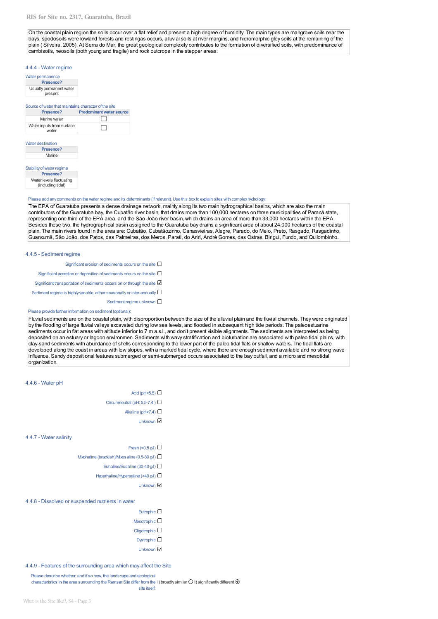#### RIS for Site no. 2317, Guaratuba, Brazil

On the coastal plain region the soils occur over a flat relief and present a high degree of humidity. The main types are mangrove soils near the bays, spodosoils were lowland forests and restingas occurs, alluvial soils at river margins, and hidromorphic gley soils at the remaining of the plain (Silveira, 2005). At Serra do Mar, the great geological complexity contributes to the formation of diversified soils, with predominance of cambisoils, neosoils (both young and fragile) and rock outcrops in the stepper areas.

#### 4.4.4 - Water regime

| Water permanence                   |  |
|------------------------------------|--|
| Presence?                          |  |
| Usually permanent water<br>present |  |
|                                    |  |

| Source of water that maintains character of the site |                                 |  |
|------------------------------------------------------|---------------------------------|--|
| Presence?                                            | <b>Predominant water source</b> |  |
| Marine water                                         |                                 |  |
| Water inputs from surface                            |                                 |  |

| <b>Water destination</b> |  |  |
|--------------------------|--|--|
| Presence?                |  |  |
| Marine                   |  |  |
|                          |  |  |
|                          |  |  |

| Presence?                                     |
|-----------------------------------------------|
|                                               |
| Water levels fluctuating<br>(including tidal) |
|                                               |

## Please add any comments on the water regime and its determinants (if relevant). Use this box to explain sites with complex hydrology.

The EPA of Guaratuba presents a dense drainage network, mainly along its two main hydrographical basins, which are also the main contributors of the Guaratuba bay, the Cubatão river basin, that drains more than 100,000 hectares on three municipalities of Paraná state, representing one third of the EPA area, and the São João river basin, which drains an area of more than 33,000 hectares within the EPA. Besides these two, the hydrographical basin assigned to the Guaratuba bay drains a significant area of about 24,000 hectares of the coastal plain. The main rivers found in the area are: Cubatão, Cubatãozinho, Canasvieiras, Alegre, Parado, do Meio, Preto, Rasgado, Rasgadinho, Guanxumã, São João, dos Patos, das Palmeiras, dos Meros, Parati, do Ariri, André Gomes, das Ostras, Birigui, Fundo, and Quilombinho.

## 4.4.5 - Sediment regime

Significant erosion of sediments occurs on the site  $\Box$ Significant accretion or deposition of sediments occurs on the site  $\Box$ Significant transportation of sediments occurs on or through the site Sediment regime is highly variable, either seasonally or inter-annually  $\square$ Sediment regime unknown  $\square$ Please provide further information on sediment (optional):

Fluvial sediments are on the coastal plain, with disproportion between the size of the alluvial plain and the fluvial channels. They were originated by the flooding of large fluvial valleys excavated during low sea levels, and flooded in subsequent high tide periods. The paleoestuarine sediments occur in flat areas with altitude inferior to 7 m a.s.l., and don't present visible alignments. The sediments are interpreted as being deposited on an estuary or lagoon environmen. Sediments with wavy stratification and bioturbation are associated with paleo tidal plains, with clay-sand sediments with abundance of shells corresponding to the lower part of the paleo tidal flats or shallow waters. The tidal flats are developed along the coast in areas with low slopes, with a marked tidal cycle, where there are enough sediment available and no strong wave influence. Sandy depositional features submerged or semi-submerged occurs associated to the bay outfall, and a micro and mesotidal organization.

#### 4.4.6 - Water pH

| Acid (pH<5.5) $\square$ |  |
|-------------------------|--|
|                         |  |
|                         |  |

- Circumneutral (pH: 5.5-7.4)  $\Box$ 
	- Akaline (pH>7.4)  $\Box$ 
		-
		- **Unknown**

#### 4.4.7 - Water salinity

- Fresh (<0.5  $a$ )  $\square$
- Myohaline (brackish) Myosaline (0.5-30  $\alpha$  )
	- Euhaline/Eusaline (30-40 g/l)
	- Hyperhaline/Hypersaline (>40 g/l)
		- Unknown

#### 4.4.8 - Dissolved or suspended nutrients in water

# Eutrophic  $\square$

- Mesotrophic  $\Box$
- Oligotrophic  $\square$
- Dystrophic  $\Box$
- Unknown **☑**

4.4.9 - Features of the surrounding area which may affect the Site

Please describe whether, and if so how, the landscape and ecological characteristics in the area surrounding the Ramsar Site differ from the i) broadly similar O ii) significantly different @

site itself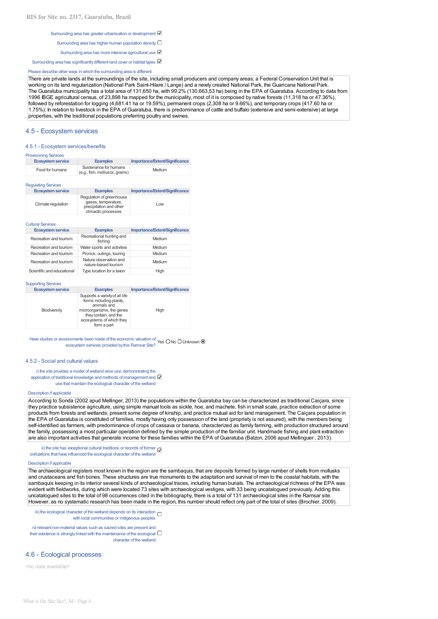- Surrounding area has greater urbanisation or development C
- Surrounding area has higher human population density  $\square$
- Surrounding area has more intensive agricultural use <sup>2</sup>
- Surrounding area has significantly different land cover or habitat types

#### Please describe other ways in which the surrounding area is different:

There are private lands at the surroundings of the site, including small producers and company areas; a Federal Conservation Unit that is working on its land regularization (National Park Saint-Hilare / Lange) and a newly created National Park, the Guaricana National Park. The Guaratuba municipality has a total area of 131,650 ha, with 99.2% (130.663,53 ha) being in the EPA of Guaratuba. According to data from 1996 IBGE agricultural census, of 23,898 ha mapped for the municipality, most of it is composed by native forests (11,318 ha or 47.36%), followed by reforestation for logging (4,681.41 ha or 19.59%), permanent crops (2,308 ha or 9.66%), and temporary crops (417.60 ha or 1.75%). In relation to livestock in the EPA of Guaratuba, there is predominance of cattle and buffalo (extensive and semi-extensive) at large properties, with the traditional populations preferring poultry and swines.

#### 4.5 - Ecosystem services

#### 4.5.1 - Ecosystem services/benefits

| <b>Provisioning Services</b> |                                                         |                                |
|------------------------------|---------------------------------------------------------|--------------------------------|
| <b>Ecosystem service</b>     | <b>Examples</b>                                         | Importance/Extent/Significance |
| Food for humans              | Sustenance for humans<br>(e.g., fish, molluscs, grains) | Medium                         |

#### **Regulating Services**

| Ecosystem service  | <b>Examples</b>                                                            | Importance/Extent/Significance |
|--------------------|----------------------------------------------------------------------------|--------------------------------|
| Climate regulation | Regulation of greenhouse<br>gases, temperature,<br>precipitation and other | Low                            |
|                    | climactic processes                                                        |                                |

#### **Cultural Services**

|                        | Ecosystem service          | <b>Examples</b>                                | Importance/Extent/Significance |
|------------------------|----------------------------|------------------------------------------------|--------------------------------|
|                        | Recreation and tourism     | Recreational hunting and<br>fishing            | Medium                         |
| Recreation and tourism |                            | Water sports and activities                    | Medium                         |
|                        | Recreation and tourism     | Picnics, outings, touring                      | Medium                         |
| Recreation and tourism |                            | Nature observation and<br>nature-based tourism | Medium                         |
|                        | Scientific and oducational | Type location for a taxon                      | $\mathsf{Hink}$                |

#### **Supporting Services**

| <b>Ecosystem service</b> | <b>Examples</b>                                                                                                                                                           | Importance/Extent/Significance |
|--------------------------|---------------------------------------------------------------------------------------------------------------------------------------------------------------------------|--------------------------------|
| Biodiversity             | Supports a variety of all life<br>forms including plants,<br>animals and<br>microorganizms, the genes<br>they contain, and the<br>ecosystems of which they<br>form a part | High                           |

Have studies or assessments been made of the economic valuation of Yes O No O Unknown <br>
ecosystem services provided by this Ramsar Site? Yes O No O Unknown ®

#### 4.5.2 - Social and cultural values

i) the site provides a model of wetland wise use, demonstrating the application of traditional knowledge and methods of management and L use that maintain the ecological character of the wetland

#### Description if applicable

According to Sonda (2002 apud Mellinger, 2013) the populations within the Guaratuba bay can be characterized as traditional Caicara, since they practice subsistence agriculture, using simple manual tools as sickle, hoe, and machete, fish in small scale, practice extraction of some products from forests and wetlands; present some degree of kinship, and practice mutual aid for land management. The Caicara population in the EPA of Guaratuba is constituted of families, mostly having only possession of the land (propriety is not assured), with the members being self-identified as farmers, with predominance of crops of cassava or banana, characterized as family farming, with production structured around the family, possessing a most particular operation defined by the simple production of the familiar unit. Handmade fishing and plant extraction are also important activities that generate income for these families within the EPA of Guaratuba (Balzon, 2006 apud Mellinguer, 2013).

ii) the site has exceptional cultural traditions or records of former  $\Box$ civilizations that have influenced the ecological character of the wetland

#### Description if applicable

The archaeological registers most known in the region are the sambaquis, that are deposits formed by large number of shells from mollusks and crustaceans and fish bones. These structures are true monuments to the adaptation and survival of men to the coastal habitats, with the sambaquis keeping in its interior several kinds of archaeological traces, including human burials. The archaeological richness of the EPA was evident with fieldworks, during which were located 73 sites with archaeological vestiges, with 33 being uncatalogued previously. Adding this uncatalogued sites to the total of 98 occurrences cited in the bibliography, there is a total of 131 archaeological sites in the Ramsar site. However, as no systematic research has been made in the region, this number should reflect only part of the total of sites (Brochier, 2009).

iii) the ecological character of the wetland depends on its interaction  $\Box$ with local communities or indigenous peoples

iv) relevant non-material values such as sacred sites are present and their existence is strongly linked with the maintenance of the ecological  $\Box$ character of the wetland

## 4.6 - Ecological processes

<no data available>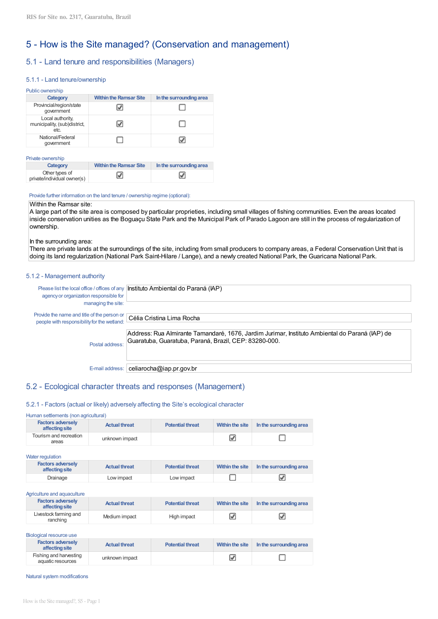# 5 - How is the Site managed? (Conservation and management)

# 5.1 - Land tenure and responsibilities (Managers)

## 5.1.1 - Land tenure/ownership

| Public ownership                                         |                               |                         |  |  |  |  |
|----------------------------------------------------------|-------------------------------|-------------------------|--|--|--|--|
| Category                                                 | <b>Within the Ramsar Site</b> | In the surrounding area |  |  |  |  |
| Provincial/region/state<br>government                    |                               |                         |  |  |  |  |
| Local authority,<br>municipality, (sub)district,<br>etc. |                               |                         |  |  |  |  |
| National/Federal<br>government                           |                               |                         |  |  |  |  |

#### Private ownership

| Category                                      | <b>Within the Ramsar Site</b> | In the surrounding area |
|-----------------------------------------------|-------------------------------|-------------------------|
| Other types of<br>private/individual owner(s) |                               | ⊽                       |

## Provide further information on the land tenure / ownership regime (optional):

## Within the Ramsar site:

A large part of the site area is composed by particular proprieties, including small villages of fishing communities. Even the areas located inside conservation unities as the Boguaçu State Park and the Municipal Park of Parado Lagoon are still in the process of regularization of ownership.

## In the surrounding area:

There are private lands at the surroundings of the site, including from small producers to company areas, a Federal Conservation Unit that is doing its land regularization (National Park Saint-Hilare / Lange), and a newly created National Park, the Guaricana National Park.

## 5.1.2 - Management authority

| agency or organization responsible for                            | Please list the local office / offices of any   Instituto Ambiental do Paraná (IAP)                                                                     |
|-------------------------------------------------------------------|---------------------------------------------------------------------------------------------------------------------------------------------------------|
| managing the site:<br>Provide the name and title of the person or |                                                                                                                                                         |
| people with responsibility for the wetland:                       | Célia Cristina Lima Rocha                                                                                                                               |
| Postal address:                                                   | Address: Rua Almirante Tamandaré, 1676, Jardim Jurimar, Instituto Ambiental do Paraná (IAP) de<br>Guaratuba, Guaratuba, Paraná, Brazil, CEP: 83280-000. |
| E-mail address:                                                   | celiarocha@iap.pr.gov.br                                                                                                                                |

In the surrounding area

О

# 5.2 - Ecological character threats and responses (Management)

## 5.2.1 - Factors (actual or likely) adversely affecting the Site's ecological character

## Human settlements (non agricultural)

| <b>Factors adversely</b><br>affecting site | <b>Actual threat</b> | <b>Potential threat</b> | Within the site | In the surrounding area |
|--------------------------------------------|----------------------|-------------------------|-----------------|-------------------------|
| Tourism and recreation<br>areas            | unknown impact       |                         |                 |                         |

| Water regulation                           |                      |                         |                 |                         |  |  |
|--------------------------------------------|----------------------|-------------------------|-----------------|-------------------------|--|--|
| <b>Factors adversely</b><br>affecting site | <b>Actual threat</b> | <b>Potential threat</b> | Within the site | In the surrounding area |  |  |
| Drainage                                   | Low impact           | Low impact              |                 |                         |  |  |

#### Agriculture and aquaculture

| <b>Factors adversely</b><br>affecting site | <b>Actual threat</b> | <b>Potential threat</b> | Within the site | In the surrounding area |
|--------------------------------------------|----------------------|-------------------------|-----------------|-------------------------|
| Livestock farming and<br>ranching          | Medium impact        | High impact             |                 |                         |

| Biological resource use                     |                      |                         |                        |
|---------------------------------------------|----------------------|-------------------------|------------------------|
| <b>Factors adversely</b><br>affecting site  | <b>Actual threat</b> | <b>Potential threat</b> | <b>Within the site</b> |
| Fishing and harvesting<br>aquatic resources | unknown impact       |                         | ⊽                      |

Natural system modifications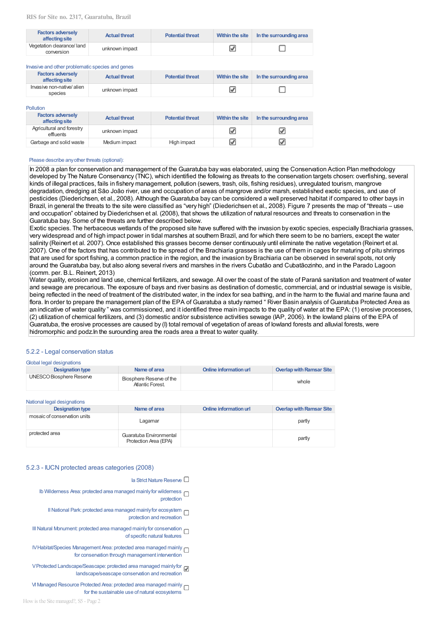| <b>Factors adversely</b><br>affecting site | <b>Actual threat</b> | <b>Potential threat</b> | Within the site | In the surrounding area |
|--------------------------------------------|----------------------|-------------------------|-----------------|-------------------------|
| Vegetation clearance/land<br>conversion    | unknown impact       |                         |                 |                         |

|  | Investigand other problematic species and genes |  |
|--|-------------------------------------------------|--|

| <b>Factors adversely</b><br>affecting site | <b>Actual threat</b> | <b>Potential threat</b> | Within the site | In the surrounding area |
|--------------------------------------------|----------------------|-------------------------|-----------------|-------------------------|
| Invasive non-native/alien<br>species       | unknown impact       |                         |                 |                         |

#### Pollution

| <b>Factors adversely</b><br>affecting site | <b>Actual threat</b> | <b>Potential threat</b> | Within the site | In the surrounding area |
|--------------------------------------------|----------------------|-------------------------|-----------------|-------------------------|
| Agricultural and forestry<br>effluents     | unknown impact       |                         | ✔               |                         |
| Garbage and solid waste                    | Medium impact        | High impact             | V               |                         |

#### Please describe any other threats (optional):

In 2008 a plan for conservation and management of the Guaratuba bay was elaborated, using the Conservation Action Plan methodology developed by The Nature Conservancy (TNC), which identified the following as threats to the conservation targets chosen: overfishing, several kinds of illegal practices, fails in fishery management, pollution (sewers, trash, oils, fishing residues), unregulated tourism, mangrove degradation, dredging at São João river, use and occupation of areas of mangrove and/or marsh, established exotic species, and use of pesticides (Diederichsen, et al., 2008). Although the Guaratuba bay can be considered a well preserved habitat if compared to other bays in Brazil, in general the threats to the site were classified as "very high" (Diederichsen et al., 2008). Figure 7 presents the map of "threats – use and occupation" obtained by Diederichsen et al. (2008), that shows the utilization of natural resources and threats to conservation in the Guaratuba bay. Some of the threats are further described below.

Exotic species. The herbaceous wetlands of the proposed site have suffered with the invasion by exotic species, especially Brachiaria grasses, very widespread and of high impact power in tidal marshes at southern Brazil, and for which there seem to be no barriers, except the water salinity (Reinert et al. 2007). Once established this grasses become denser continuously until eliminate the native vegetation (Reinert et al. 2007). One of the factors that has contributed to the spread of the Brachiaria grasses is the use of them in cages for maturing of pitu shrimps that are used for sport fishing, a common practice in the region, and the invasion by Brachiaria can be observed in several spots, not only around the Guaratuba bay, but also along several rivers and marshes in the rivers Cubatão and Cubatãozinho, and in the Parado Lagoon (comm. per. B.L. Reinert, 2013)

Water quality, erosion and land use, chemical fertilizers, and sewage. All over the coast of the state of Paraná sanitation and treatment of water and sewage are precarious. The exposure of bays and river basins as destination of domestic, commercial, and or industrial sewage is visible, being reflected in the need of treatment of the distributed water, in the index for sea bathing, and in the harm to the fluvial and marine fauna and flora. In order to prepare the management plan of the EPA of Guaratuba a study named "River Basin analysis of Guaratuba Protected Area as an indicative of water quality" was commissioned, and it identified three main impacts to the quality of water at the EPA: (1) erosive processes, (2) utilization of chemical fertilizers, and (3) domestic and/or subsistence activities sewage (IAP, 2006). In the lowland plains of the EPA of Guaratuba, the erosive processes are caused by (I) total removal of vegetation of areas of lowland forests and alluvial forests, were hidromorphic and podz. In the surounding area the roads area a threat to water quality.

## 5.2.2 - Legal conservation status

#### Clobal legal designations

| $-$                      |                                              |                        |                          |
|--------------------------|----------------------------------------------|------------------------|--------------------------|
| <b>Designation type</b>  | Name of area                                 | Online information url | Overlap with Ramsar Site |
| UNESCO Biosphere Reserve | Biosphere Reserve of the<br>Atlantic Forest. |                        | whole                    |

| National legal designations  |                                                  |                        |                                 |
|------------------------------|--------------------------------------------------|------------------------|---------------------------------|
| <b>Designation type</b>      | Name of area                                     | Online information url | <b>Overlap with Ramsar Site</b> |
| mosaic of conservation units | Lagamar                                          |                        | partly                          |
| protected area               | Guaratuba Environmental<br>Protection Area (EPA) |                        | partly                          |

#### 5.2.3 - IUCN protected areas categories (2008)

Ia Strict Nature Reserve

- Ib Wilderness Area: protected area managed mainly for wilderness protection
	- Il National Park: protected area managed mainly for ecosystem protection and recreation
- III Natural Monument: protected area managed mainly for conservation of specific natural features
- IV Habitat/Species Management Area: protected area managed mainly for conservation through management intervention
- V Protected Landscape/Seascape: protected area managed mainly for landscape/seascape conservation and recreation
- M Managed Resource Protected Area: protected area managed mainly for the sustainable use of natural ecosystems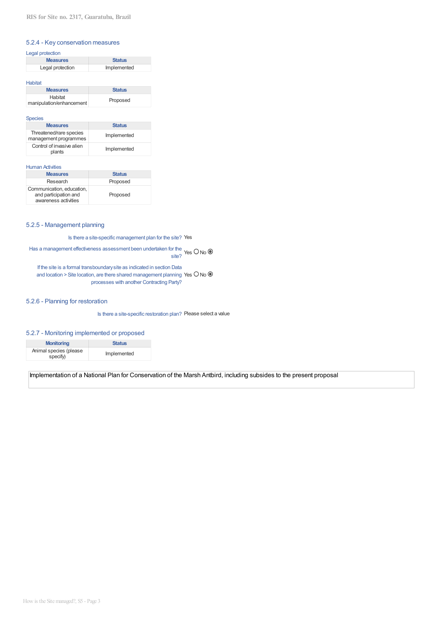## 5.2.4 - Key conservation measures

# Legal protection

| <b>Measures</b>  | <b>Status</b> |
|------------------|---------------|
| Legal protection | Implemented   |

#### Habitat

| <b>Measures</b>                     | <b>Status</b> |
|-------------------------------------|---------------|
| Habitat<br>manipulation/enhancement | Proposed      |
|                                     |               |

#### Species

| <b>Measures</b>                                  | <b>Status</b> |
|--------------------------------------------------|---------------|
| Threatened/rare species<br>management programmes | Implemented   |
| Control of invasive alien<br>plants              | Implemented   |

## **Human Activities**

| <b>Measures</b>                                                            | <b>Status</b> |
|----------------------------------------------------------------------------|---------------|
| Research                                                                   | Proposed      |
| Communication, education,<br>and participation and<br>awareness activities | Proposed      |

## 5.2.5 - Management planning

Is there a site-specific management plan for the site? Yes

Has a management effectiveness assessment been undertaken for the Yes O No  $\bullet$ site?

If the site is a formal transboundary site as indicated in section Data and location > Site location, are there shared management planning Yes  $O$  No  $\circledast$ processes with another Contracting Party?

## 5.2.6 - Planning for restoration

Is there a site-specific restoration plan? Please select a value

## 5.2.7 - Monitoring implemented or proposed

| <b>Monitoring</b>                  | <b>Status</b> |
|------------------------------------|---------------|
| Animal species (please<br>specify) | Implemented   |

Implementation of a National Plan for Conservation of the Marsh Antbird, including subsides to the present proposal